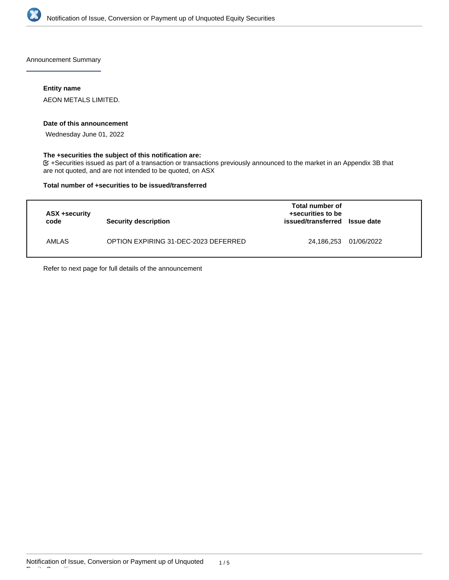

Announcement Summary

### **Entity name**

AEON METALS LIMITED.

### **Date of this announcement**

Wednesday June 01, 2022

### **The +securities the subject of this notification are:**

+Securities issued as part of a transaction or transactions previously announced to the market in an Appendix 3B that are not quoted, and are not intended to be quoted, on ASX

### **Total number of +securities to be issued/transferred**

| ASX +security<br>code | Security description                 | Total number of<br>+securities to be<br>issued/transferred | <b>Issue date</b> |
|-----------------------|--------------------------------------|------------------------------------------------------------|-------------------|
| AMLAS                 | OPTION EXPIRING 31-DEC-2023 DEFERRED | 24,186,253                                                 | 01/06/2022        |

Refer to next page for full details of the announcement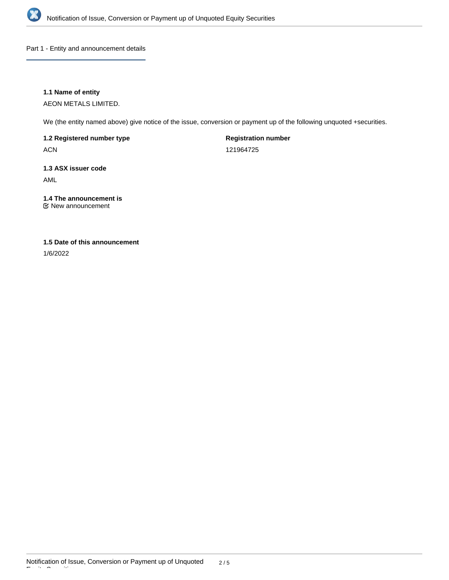

Part 1 - Entity and announcement details

# **1.1 Name of entity**

AEON METALS LIMITED.

We (the entity named above) give notice of the issue, conversion or payment up of the following unquoted +securities.

# **1.2 Registered number type**

ACN

**Registration number**

121964725

# **1.3 ASX issuer code**

AML

# **1.4 The announcement is**

New announcement

# **1.5 Date of this announcement**

1/6/2022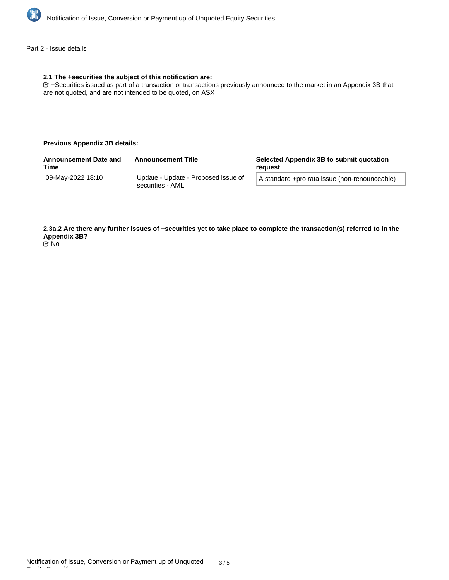

## Part 2 - Issue details

### **2.1 The +securities the subject of this notification are:**

+Securities issued as part of a transaction or transactions previously announced to the market in an Appendix 3B that are not quoted, and are not intended to be quoted, on ASX

### **Previous Appendix 3B details:**

| <b>Announcement Date and</b><br><b>Time</b> | <b>Announcement Title</b>           | Selected Appendix 3B to submit quotation<br>reauest |
|---------------------------------------------|-------------------------------------|-----------------------------------------------------|
| 09-Mav-2022 18:10                           | Update - Update - Proposed issue of | A standard +pro rata issue (non-renounceable)       |
|                                             | securities - AML                    |                                                     |

**2.3a.2 Are there any further issues of +securities yet to take place to complete the transaction(s) referred to in the Appendix 3B?** No

Equity Securities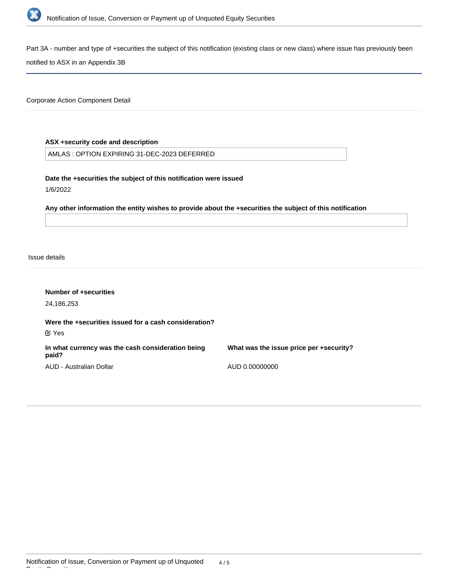

Part 3A - number and type of +securities the subject of this notification (existing class or new class) where issue has previously been

notified to ASX in an Appendix 3B

Corporate Action Component Detail

# **ASX +security code and description**

AMLAS : OPTION EXPIRING 31-DEC-2023 DEFERRED

**Date the +securities the subject of this notification were issued**

1/6/2022

**Any other information the entity wishes to provide about the +securities the subject of this notification**

Issue details

| Number of +securities<br>24,186,253                                   |                                         |
|-----------------------------------------------------------------------|-----------------------------------------|
| Were the +securities issued for a cash consideration?<br>$\alpha$ Yes |                                         |
| In what currency was the cash consideration being<br>paid?            | What was the issue price per +security? |
| AUD - Australian Dollar                                               | AUD 0.00000000                          |